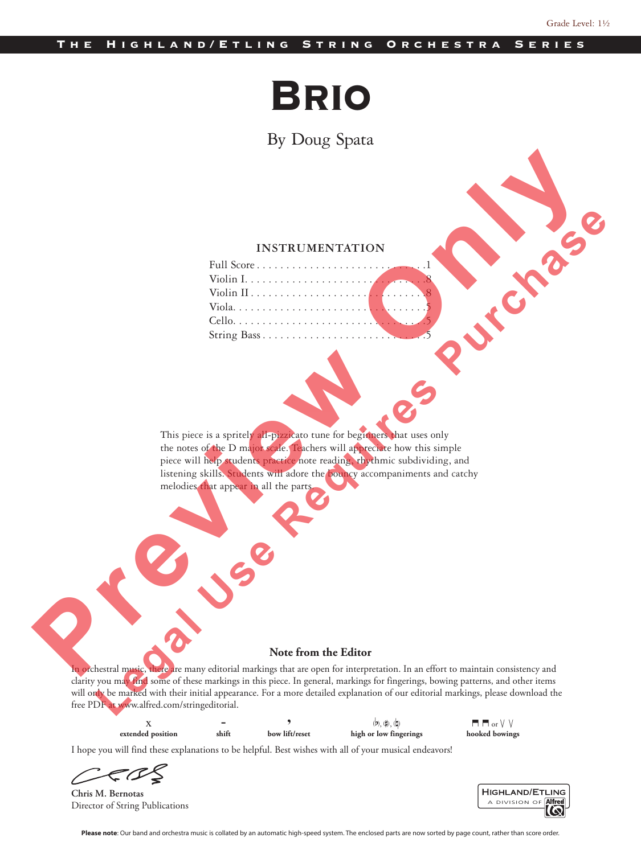J. Chase

HIGHLAND/ETLING STRING ORCHESTRA THE SERIES

**BRIO** 

By Doug Spata

**INSTRUMENTATION** 

This piece is a spritely all-pizzicato tune for beginners that uses only the notes of the D major scale. Teachers will appreciate how this simple piece will help students practice note reading, thythmic subdividing, and listening skills. Students will adore the bouncy accompaniments and catchy melodies that appear in all the parts

## Note from the Editor

In orchestral music, there are many editorial markings that are open for interpretation. In an effort to maintain consistency and clarity you may find some of these markings in this piece. In general, markings for fingerings, bowing patterns, and other items will only be marked with their initial appearance. For a more detailed explanation of our editorial markings, please download the free PDF at www.alfred.com/stringeditorial.

X extended position

shift

bow lift/reset

 $\langle b\rangle, \langle \natural \rangle$  high or low fingerings

 $\blacksquare$   $\blacksquare$  or  $\vee$   $\vee$ hooked bowings

I hope you will find these explanations to be helpful. Best wishes with all of your musical endeavors!

 $\bullet$ 

Chris M. Bernotas Director of String Publications



Please note: Our band and orchestra music is collated by an automatic high-speed system. The enclosed parts are now sorted by page count, rather than score order.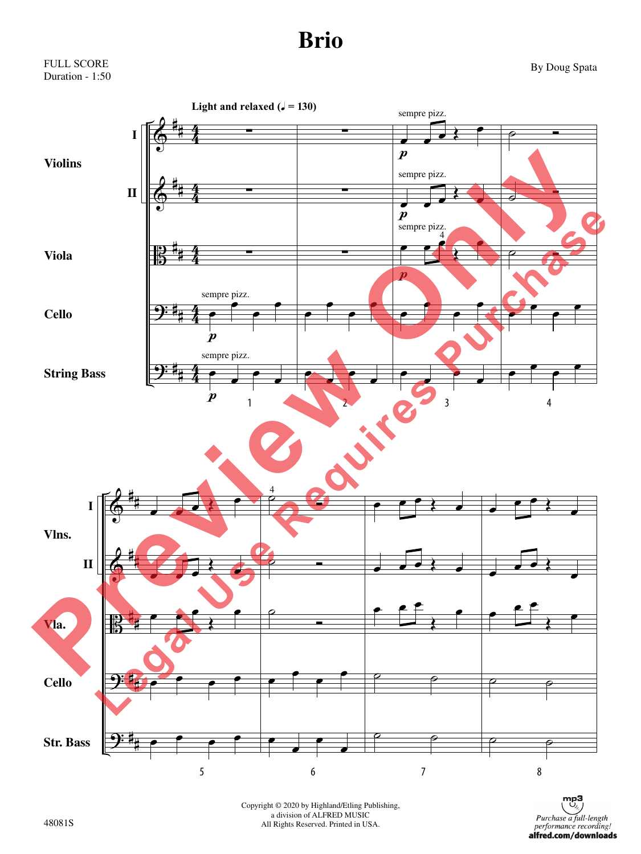## **Brio**

Duration - 1:50 FULL SCORE By Doug Spata



Copyright © 2020 by Highland/Etling Publishing, a division of ALFRED MUSIC All Rights Reserved. Printed in USA.

48081S

Purchase a full-length<br>performance recording!<br>**alfred.com/downloads**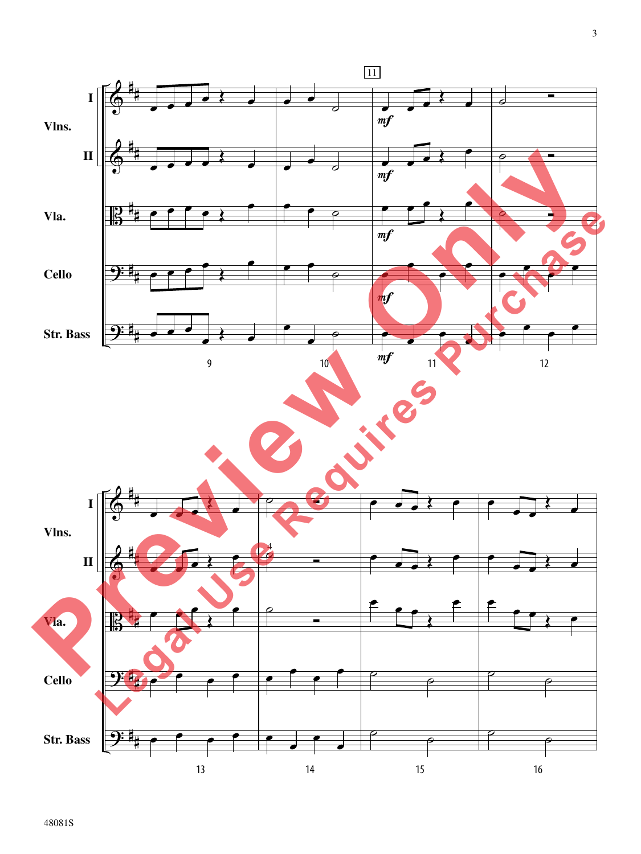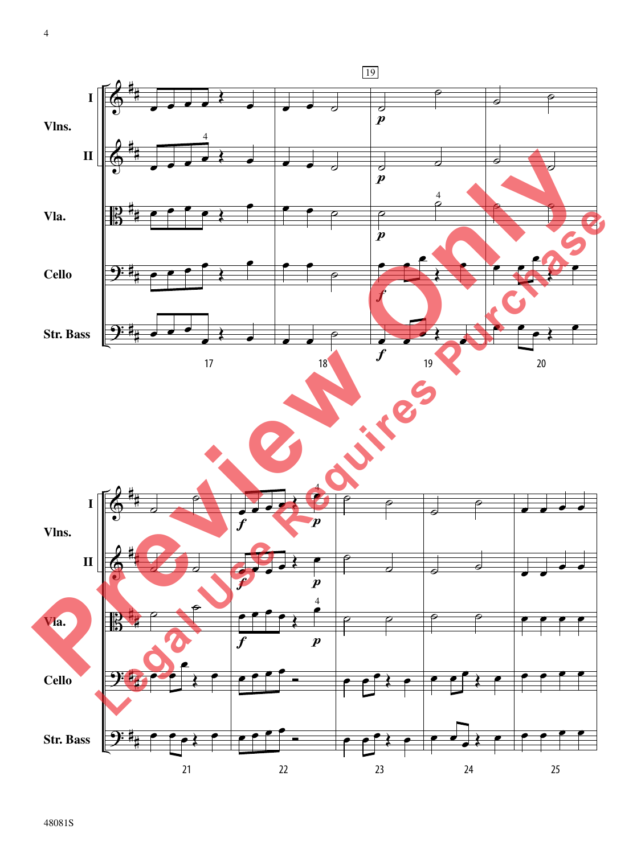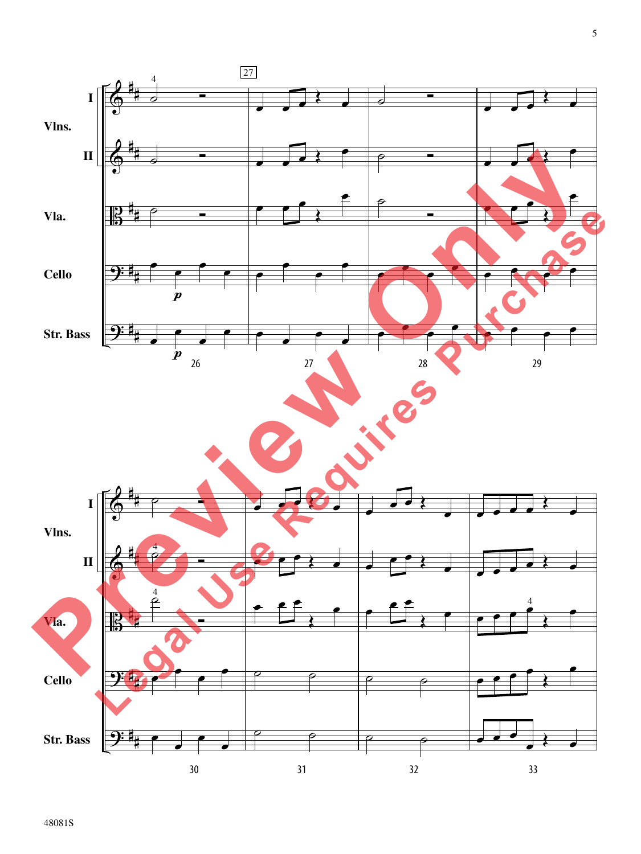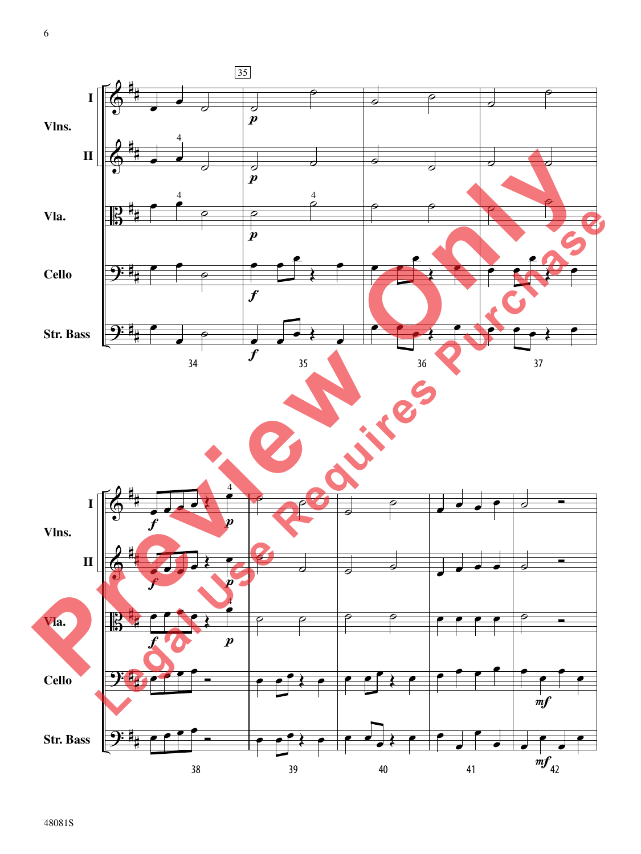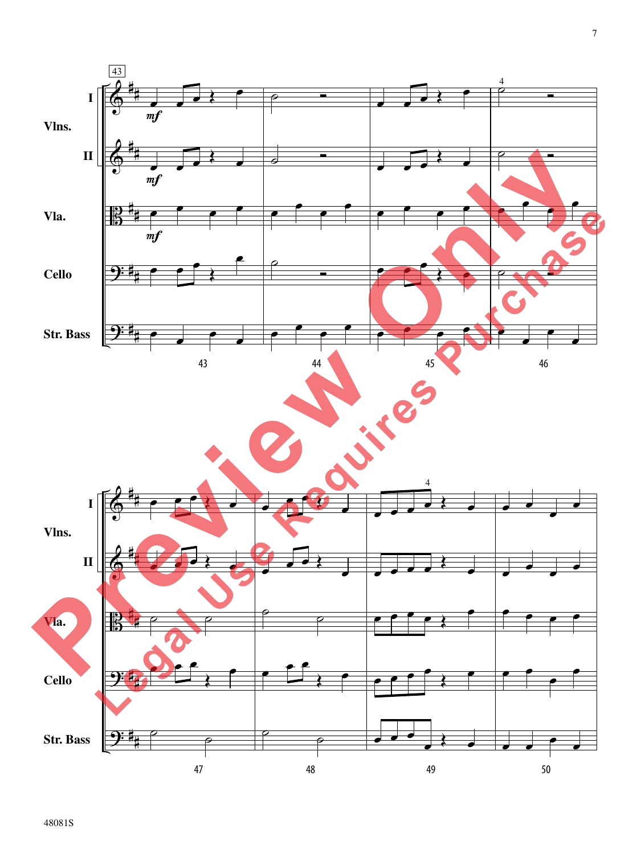